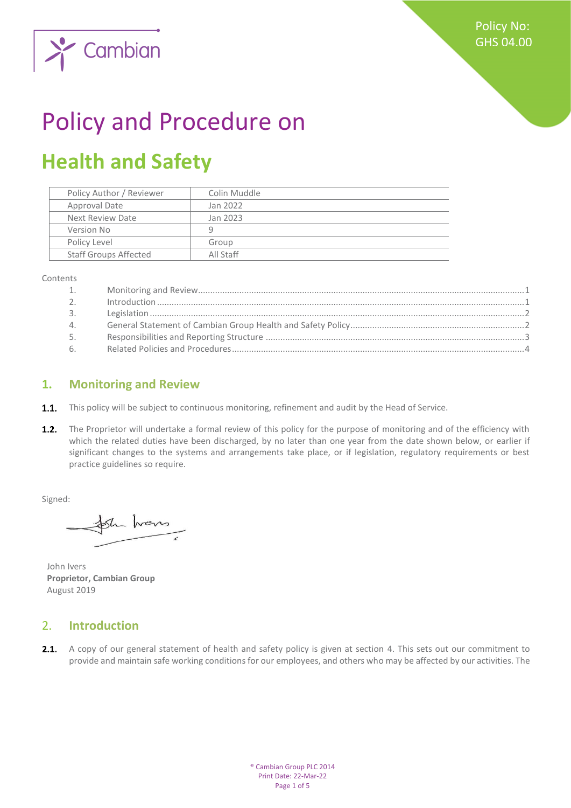

# Policy and Procedure on

## **Health and Safety**

| Policy Author / Reviewer     | Colin Muddle |
|------------------------------|--------------|
| Approval Date                | Jan 2022     |
| Next Review Date             | Jan 2023     |
| Version No                   | q            |
| Policy Level                 | Group        |
| <b>Staff Groups Affected</b> | All Staff    |
|                              |              |

Contents

| 1.             |  |
|----------------|--|
| 2 <sub>1</sub> |  |
| 3.             |  |
| 4.             |  |
| 5.             |  |
| 6.             |  |

#### <span id="page-0-0"></span>**1. Monitoring and Review**

- **1.1.** This policy will be subject to continuous monitoring, refinement and audit by the Head of Service.
- $1.2.$ The Proprietor will undertake a formal review of this policy for the purpose of monitoring and of the efficiency with which the related duties have been discharged, by no later than one year from the date shown below, or earlier if significant changes to the systems and arrangements take place, or if legislation, regulatory requirements or best practice guidelines so require.

Signed:

Sh hans

John Ivers **Proprietor, Cambian Group** August 2019

#### <span id="page-0-1"></span>2. **Introduction**

2.1. A copy of our general statement of health and safety policy is given at section 4. This sets out our commitment to provide and maintain safe working conditions for our employees, and others who may be affected by our activities. The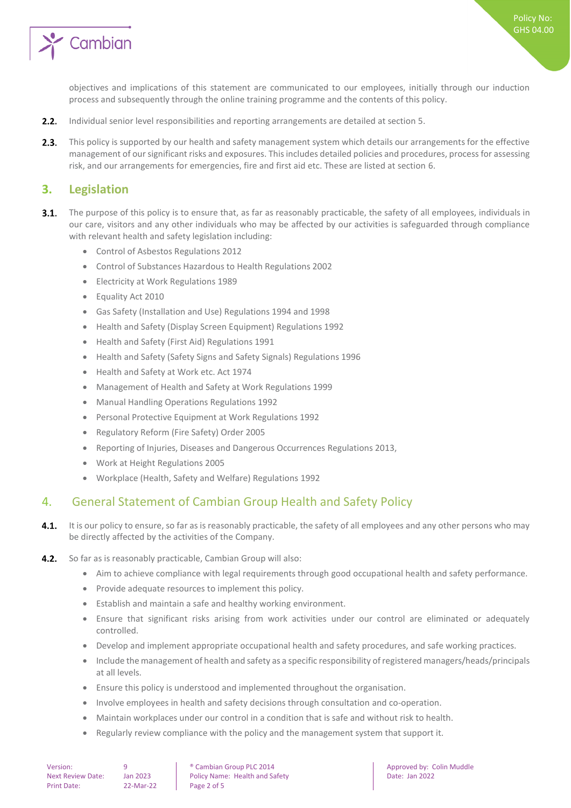

Policy No: GHS 04.00

objectives and implications of this statement are communicated to our employees, initially through our induction process and subsequently through the online training programme and the contents of this policy.

- $2.2.$ Individual senior level responsibilities and reporting arrangements are detailed at section 5.
- $2.3.$ This policy is supported by our health and safety management system which details our arrangements for the effective management of our significant risks and exposures. This includes detailed policies and procedures, process for assessing risk, and our arrangements for emergencies, fire and first aid etc. These are listed at section 6.

#### <span id="page-1-0"></span>**3. Legislation**

- $3.1.$ The purpose of this policy is to ensure that, as far as reasonably practicable, the safety of all employees, individuals in our care, visitors and any other individuals who may be affected by our activities is safeguarded through compliance with relevant health and safety legislation including:
	- Control of Asbestos Regulations 2012
	- Control of Substances Hazardous to Health Regulations 2002
	- Electricity at Work Regulations 1989
	- Equality Act 2010
	- Gas Safety (Installation and Use) Regulations 1994 and 1998
	- Health and Safety (Display Screen Equipment) Regulations 1992
	- Health and Safety (First Aid) Regulations 1991
	- Health and Safety (Safety Signs and Safety Signals) Regulations 1996
	- Health and Safety at Work etc. Act 1974
	- Management of Health and Safety at Work Regulations 1999
	- Manual Handling Operations Regulations 1992
	- Personal Protective Equipment at Work Regulations 1992
	- Regulatory Reform (Fire Safety) Order 2005
	- Reporting of Injuries, Diseases and Dangerous Occurrences Regulations 2013,
	- Work at Height Regulations 2005
	- Workplace (Health, Safety and Welfare) Regulations 1992

#### <span id="page-1-1"></span>4. General Statement of Cambian Group Health and Safety Policy

- $4.1.$ It is our policy to ensure, so far as is reasonably practicable, the safety of all employees and any other persons who may be directly affected by the activities of the Company.
- $4.2.$ So far as is reasonably practicable, Cambian Group will also:
	- Aim to achieve compliance with legal requirements through good occupational health and safety performance.
	- Provide adequate resources to implement this policy.
	- Establish and maintain a safe and healthy working environment.
	- Ensure that significant risks arising from work activities under our control are eliminated or adequately controlled.
	- Develop and implement appropriate occupational health and safety procedures, and safe working practices.
	- Include the management of health and safety as a specific responsibility of registered managers/heads/principals at all levels.
	- Ensure this policy is understood and implemented throughout the organisation.
	- Involve employees in health and safety decisions through consultation and co-operation.
	- Maintain workplaces under our control in a condition that is safe and without risk to health.
	- Regularly review compliance with the policy and the management system that support it.

Version: 9 9 | ® Cambian Group PLC 2014 | Approved by: Colin Muddle<br>Next Review Date: Ian 2023 Policy Name: Health and Safety | Date: Ian 2022 Next Review Date: Jan 2023 | Policy Name: Health and Safety | Date: Jan 2022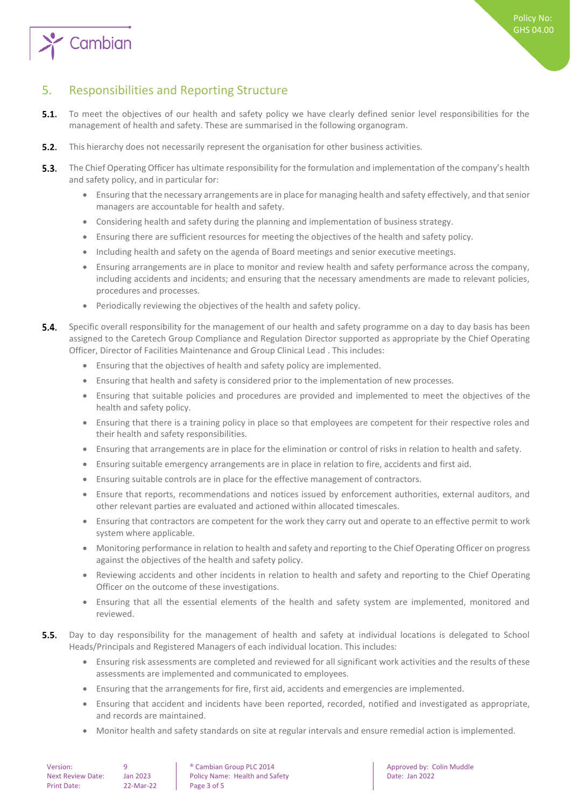

### <span id="page-2-0"></span>5. Responsibilities and Reporting Structure

- $5.1.$ To meet the objectives of our health and safety policy we have clearly defined senior level responsibilities for the management of health and safety. These are summarised in the following organogram.
- $5.2.$ This hierarchy does not necessarily represent the organisation for other business activities.
- $5.3.$ The Chief Operating Officer has ultimate responsibility for the formulation and implementation of the company's health and safety policy, and in particular for:
	- Ensuring that the necessary arrangements are in place for managing health and safety effectively, and that senior managers are accountable for health and safety.
	- Considering health and safety during the planning and implementation of business strategy.
	- Ensuring there are sufficient resources for meeting the objectives of the health and safety policy.
	- Including health and safety on the agenda of Board meetings and senior executive meetings.
	- Ensuring arrangements are in place to monitor and review health and safety performance across the company, including accidents and incidents; and ensuring that the necessary amendments are made to relevant policies, procedures and processes.
	- Periodically reviewing the objectives of the health and safety policy.
- 54 Specific overall responsibility for the management of our health and safety programme on a day to day basis has been assigned to the Caretech Group Compliance and Regulation Director supported as appropriate by the Chief Operating Officer, Director of Facilities Maintenance and Group Clinical Lead . This includes:
	- Ensuring that the objectives of health and safety policy are implemented.
	- Ensuring that health and safety is considered prior to the implementation of new processes.
	- Ensuring that suitable policies and procedures are provided and implemented to meet the objectives of the health and safety policy.
	- Ensuring that there is a training policy in place so that employees are competent for their respective roles and their health and safety responsibilities.
	- Ensuring that arrangements are in place for the elimination or control of risks in relation to health and safety.
	- Ensuring suitable emergency arrangements are in place in relation to fire, accidents and first aid.
	- Ensuring suitable controls are in place for the effective management of contractors.
	- Ensure that reports, recommendations and notices issued by enforcement authorities, external auditors, and other relevant parties are evaluated and actioned within allocated timescales.
	- Ensuring that contractors are competent for the work they carry out and operate to an effective permit to work system where applicable.
	- Monitoring performance in relation to health and safety and reporting to the Chief Operating Officer on progress against the objectives of the health and safety policy.
	- Reviewing accidents and other incidents in relation to health and safety and reporting to the Chief Operating Officer on the outcome of these investigations.
	- Ensuring that all the essential elements of the health and safety system are implemented, monitored and reviewed.
- $5.5.$ Day to day responsibility for the management of health and safety at individual locations is delegated to School Heads/Principals and Registered Managers of each individual location. This includes:
	- Ensuring risk assessments are completed and reviewed for all significant work activities and the results of these assessments are implemented and communicated to employees.
	- Ensuring that the arrangements for fire, first aid, accidents and emergencies are implemented.
	- Ensuring that accident and incidents have been reported, recorded, notified and investigated as appropriate, and records are maintained.
	- Monitor health and safety standards on site at regular intervals and ensure remedial action is implemented.

| Version:          |  |  |  |
|-------------------|--|--|--|
| Next Review Date: |  |  |  |
| Print Date:       |  |  |  |

 $P^2$ -Mar-22 Page 3 of 5

9 **8 Cambian Group PLC 2014 Approved by: Colin Muddle** Jan 2023 Policy Name: Health and Safety **Date: Jan 2022**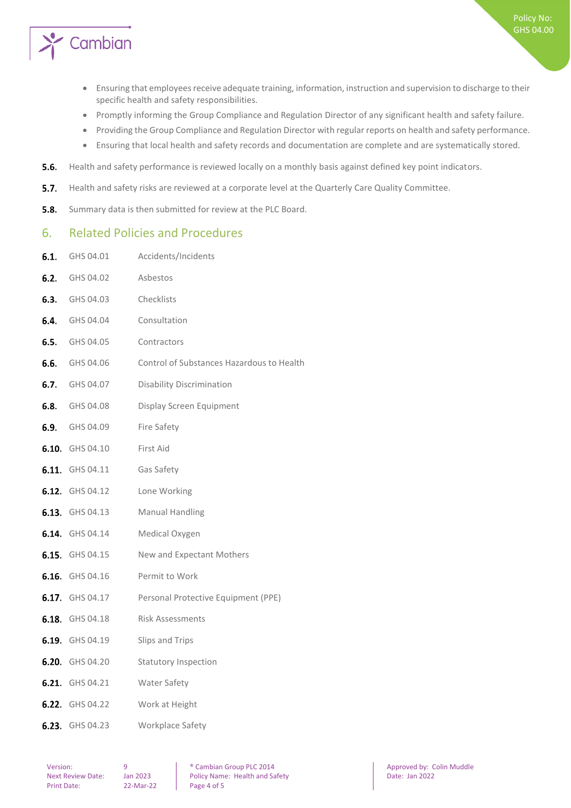

- Ensuring that employees receive adequate training, information, instruction and supervision to discharge to their specific health and safety responsibilities.
- Promptly informing the Group Compliance and Regulation Director of any significant health and safety failure.
- Providing the Group Compliance and Regulation Director with regular reports on health and safety performance.
- Ensuring that local health and safety records and documentation are complete and are systematically stored.
- $5.6.$ Health and safety performance is reviewed locally on a monthly basis against defined key point indicators.
- $5.7.$ Health and safety risks are reviewed at a corporate level at the Quarterly Care Quality Committee.
- <span id="page-3-0"></span> $5.8.$ Summary data is then submitted for review at the PLC Board.

#### 6. Related Policies and Procedures

6.1. GHS 04.01 Accidents/Incidents

| 6.2. | GHS 04.02              | Asbestos                                  |
|------|------------------------|-------------------------------------------|
|      | <b>6.3.</b> GHS 04.03  | Checklists                                |
|      | 6.4. GHS 04.04         | Consultation                              |
|      | <b>6.5.</b> GHS 04.05  | Contractors                               |
|      | <b>6.6.</b> GHS 04.06  | Control of Substances Hazardous to Health |
|      | <b>6.7.</b> GHS 04.07  | <b>Disability Discrimination</b>          |
|      | <b>6.8.</b> GHS 04.08  | Display Screen Equipment                  |
|      | <b>6.9.</b> GHS 04.09  | <b>Fire Safety</b>                        |
|      | 6.10. GHS 04.10        | First Aid                                 |
|      | 6.11. GHS 04.11        | Gas Safety                                |
|      | 6.12. GHS 04.12        | Lone Working                              |
|      | <b>6.13.</b> GHS 04.13 | <b>Manual Handling</b>                    |
|      | <b>6.14.</b> GHS 04.14 | Medical Oxygen                            |
|      | <b>6.15.</b> GHS 04.15 | New and Expectant Mothers                 |
|      | 6.16. GHS 04.16        | Permit to Work                            |
|      | 6.17. GHS 04.17        | Personal Protective Equipment (PPE)       |
|      | <b>6.18.</b> GHS 04.18 | <b>Risk Assessments</b>                   |
|      | <b>6.19.</b> GHS 04.19 | Slips and Trips                           |
|      | 6.20. GHS 04.20        | <b>Statutory Inspection</b>               |
|      | 6.21. GHS 04.21        | Water Safety                              |
|      | <b>6.22.</b> GHS 04.22 | Work at Height                            |
|      | 6.23. GHS 04.23        | Workplace Safety                          |